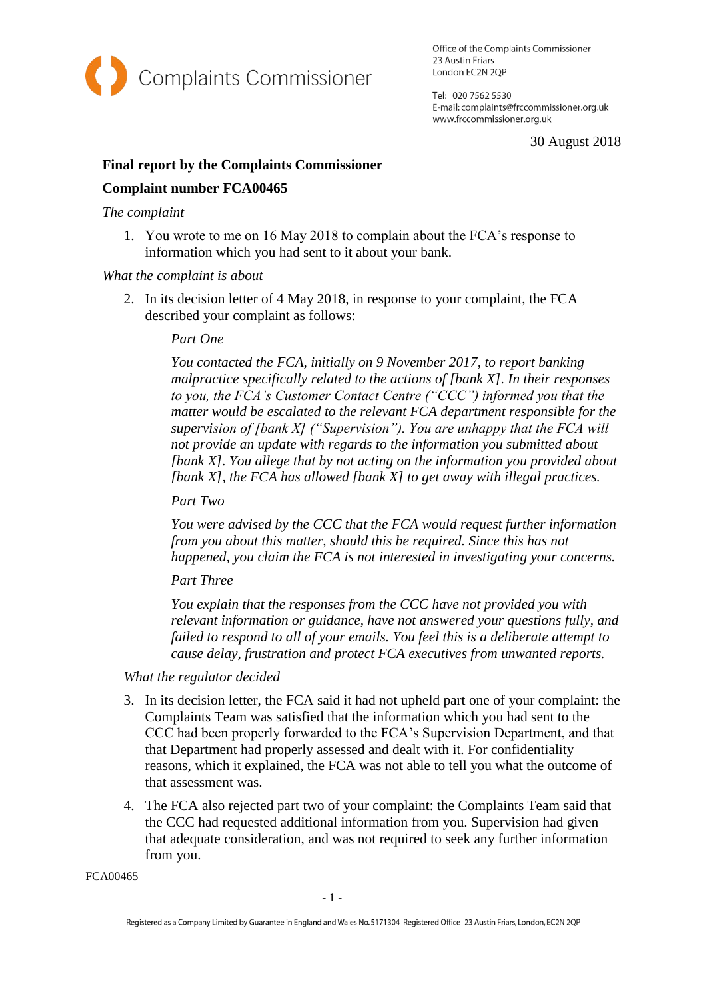

Office of the Complaints Commissioner 23 Austin Friars London EC2N 2QP

Tel: 020 7562 5530 E-mail: complaints@frccommissioner.org.uk www.frccommissioner.org.uk

30 August 2018

# **Final report by the Complaints Commissioner**

## **Complaint number FCA00465**

### *The complaint*

1. You wrote to me on 16 May 2018 to complain about the FCA's response to information which you had sent to it about your bank.

#### *What the complaint is about*

2. In its decision letter of 4 May 2018, in response to your complaint, the FCA described your complaint as follows:

#### *Part One*

*You contacted the FCA, initially on 9 November 2017, to report banking malpractice specifically related to the actions of [bank X]. In their responses to you, the FCA's Customer Contact Centre ("CCC") informed you that the matter would be escalated to the relevant FCA department responsible for the supervision of [bank X] ("Supervision"). You are unhappy that the FCA will not provide an update with regards to the information you submitted about [bank X]. You allege that by not acting on the information you provided about [bank X], the FCA has allowed [bank X] to get away with illegal practices.*

*Part Two*

*You were advised by the CCC that the FCA would request further information from you about this matter, should this be required. Since this has not happened, you claim the FCA is not interested in investigating your concerns.*

*Part Three*

*You explain that the responses from the CCC have not provided you with relevant information or guidance, have not answered your questions fully, and failed to respond to all of your emails. You feel this is a deliberate attempt to cause delay, frustration and protect FCA executives from unwanted reports.*

## *What the regulator decided*

- 3. In its decision letter, the FCA said it had not upheld part one of your complaint: the Complaints Team was satisfied that the information which you had sent to the CCC had been properly forwarded to the FCA's Supervision Department, and that that Department had properly assessed and dealt with it. For confidentiality reasons, which it explained, the FCA was not able to tell you what the outcome of that assessment was.
- 4. The FCA also rejected part two of your complaint: the Complaints Team said that the CCC had requested additional information from you. Supervision had given that adequate consideration, and was not required to seek any further information from you.

FCA00465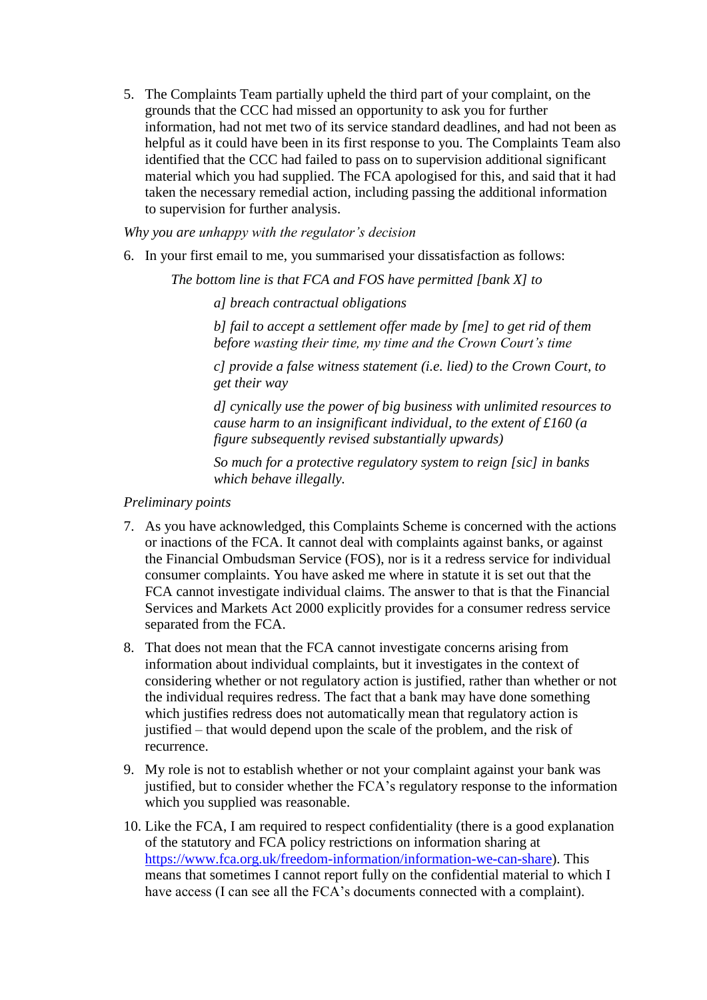5. The Complaints Team partially upheld the third part of your complaint, on the grounds that the CCC had missed an opportunity to ask you for further information, had not met two of its service standard deadlines, and had not been as helpful as it could have been in its first response to you. The Complaints Team also identified that the CCC had failed to pass on to supervision additional significant material which you had supplied. The FCA apologised for this, and said that it had taken the necessary remedial action, including passing the additional information to supervision for further analysis.

*Why you are unhappy with the regulator's decision*

6. In your first email to me, you summarised your dissatisfaction as follows:

*The bottom line is that FCA and FOS have permitted [bank X] to* 

*a] breach contractual obligations*

*b] fail to accept a settlement offer made by [me] to get rid of them before wasting their time, my time and the Crown Court's time*

*c] provide a false witness statement (i.e. lied) to the Crown Court, to get their way*

*d] cynically use the power of big business with unlimited resources to cause harm to an insignificant individual, to the extent of £160 (a figure subsequently revised substantially upwards)*

*So much for a protective regulatory system to reign [sic] in banks which behave illegally.*

## *Preliminary points*

- 7. As you have acknowledged, this Complaints Scheme is concerned with the actions or inactions of the FCA. It cannot deal with complaints against banks, or against the Financial Ombudsman Service (FOS), nor is it a redress service for individual consumer complaints. You have asked me where in statute it is set out that the FCA cannot investigate individual claims. The answer to that is that the Financial Services and Markets Act 2000 explicitly provides for a consumer redress service separated from the FCA.
- 8. That does not mean that the FCA cannot investigate concerns arising from information about individual complaints, but it investigates in the context of considering whether or not regulatory action is justified, rather than whether or not the individual requires redress. The fact that a bank may have done something which justifies redress does not automatically mean that regulatory action is justified – that would depend upon the scale of the problem, and the risk of recurrence.
- 9. My role is not to establish whether or not your complaint against your bank was justified, but to consider whether the FCA's regulatory response to the information which you supplied was reasonable.
- 10. Like the FCA, I am required to respect confidentiality (there is a good explanation of the statutory and FCA policy restrictions on information sharing at [https://www.fca.org.uk/freedom-information/information-we-can-share\)](https://www.fca.org.uk/freedom-information/information-we-can-share). This means that sometimes I cannot report fully on the confidential material to which I have access (I can see all the FCA's documents connected with a complaint).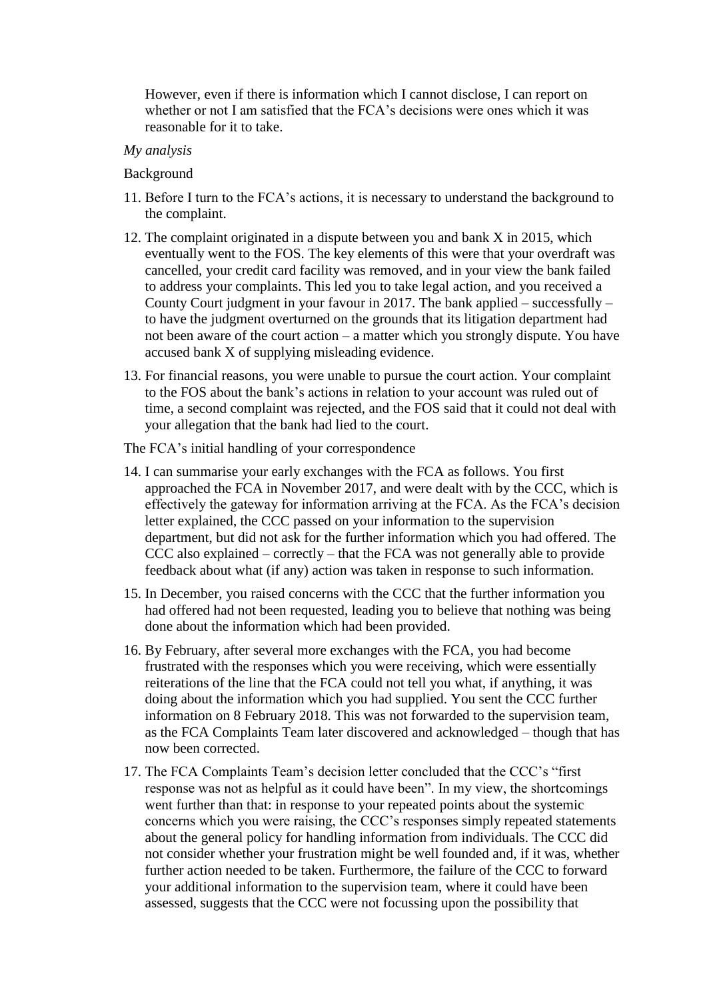However, even if there is information which I cannot disclose, I can report on whether or not I am satisfied that the FCA's decisions were ones which it was reasonable for it to take.

#### *My analysis*

#### Background

- 11. Before I turn to the FCA's actions, it is necessary to understand the background to the complaint.
- 12. The complaint originated in a dispute between you and bank X in 2015, which eventually went to the FOS. The key elements of this were that your overdraft was cancelled, your credit card facility was removed, and in your view the bank failed to address your complaints. This led you to take legal action, and you received a County Court judgment in your favour in 2017. The bank applied – successfully – to have the judgment overturned on the grounds that its litigation department had not been aware of the court action – a matter which you strongly dispute. You have accused bank X of supplying misleading evidence.
- 13. For financial reasons, you were unable to pursue the court action. Your complaint to the FOS about the bank's actions in relation to your account was ruled out of time, a second complaint was rejected, and the FOS said that it could not deal with your allegation that the bank had lied to the court.

The FCA's initial handling of your correspondence

- 14. I can summarise your early exchanges with the FCA as follows. You first approached the FCA in November 2017, and were dealt with by the CCC, which is effectively the gateway for information arriving at the FCA. As the FCA's decision letter explained, the CCC passed on your information to the supervision department, but did not ask for the further information which you had offered. The CCC also explained – correctly – that the FCA was not generally able to provide feedback about what (if any) action was taken in response to such information.
- 15. In December, you raised concerns with the CCC that the further information you had offered had not been requested, leading you to believe that nothing was being done about the information which had been provided.
- 16. By February, after several more exchanges with the FCA, you had become frustrated with the responses which you were receiving, which were essentially reiterations of the line that the FCA could not tell you what, if anything, it was doing about the information which you had supplied. You sent the CCC further information on 8 February 2018. This was not forwarded to the supervision team, as the FCA Complaints Team later discovered and acknowledged – though that has now been corrected.
- 17. The FCA Complaints Team's decision letter concluded that the CCC's "first response was not as helpful as it could have been". In my view, the shortcomings went further than that: in response to your repeated points about the systemic concerns which you were raising, the CCC's responses simply repeated statements about the general policy for handling information from individuals. The CCC did not consider whether your frustration might be well founded and, if it was, whether further action needed to be taken. Furthermore, the failure of the CCC to forward your additional information to the supervision team, where it could have been assessed, suggests that the CCC were not focussing upon the possibility that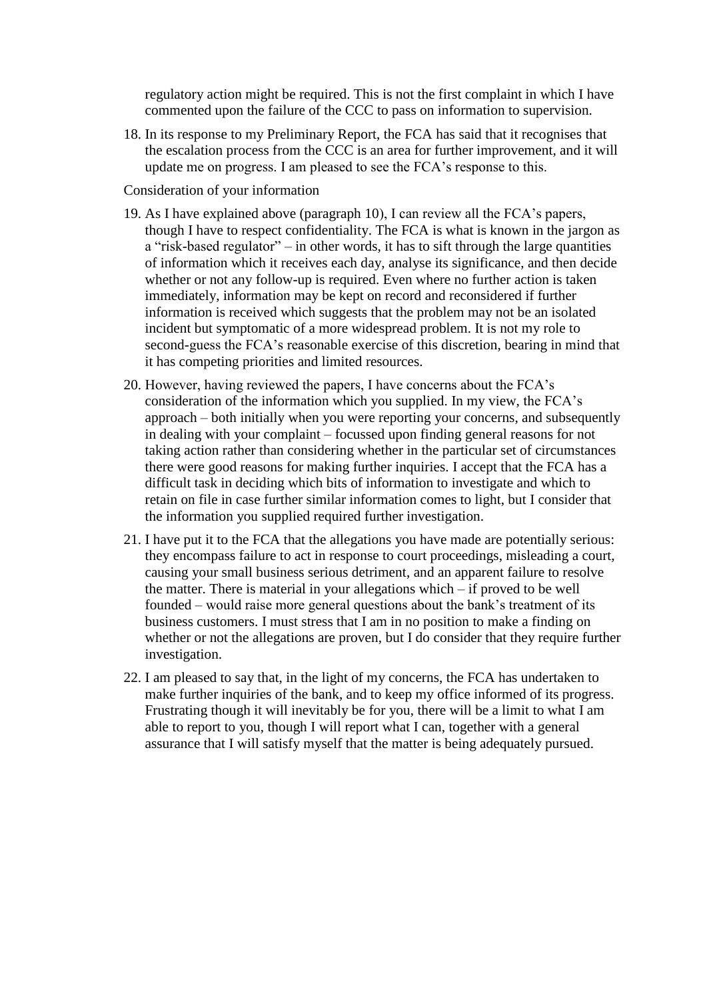regulatory action might be required. This is not the first complaint in which I have commented upon the failure of the CCC to pass on information to supervision.

18. In its response to my Preliminary Report, the FCA has said that it recognises that the escalation process from the CCC is an area for further improvement, and it will update me on progress. I am pleased to see the FCA's response to this.

Consideration of your information

- 19. As I have explained above (paragraph 10), I can review all the FCA's papers, though I have to respect confidentiality. The FCA is what is known in the jargon as a "risk-based regulator" – in other words, it has to sift through the large quantities of information which it receives each day, analyse its significance, and then decide whether or not any follow-up is required. Even where no further action is taken immediately, information may be kept on record and reconsidered if further information is received which suggests that the problem may not be an isolated incident but symptomatic of a more widespread problem. It is not my role to second-guess the FCA's reasonable exercise of this discretion, bearing in mind that it has competing priorities and limited resources.
- 20. However, having reviewed the papers, I have concerns about the FCA's consideration of the information which you supplied. In my view, the FCA's approach – both initially when you were reporting your concerns, and subsequently in dealing with your complaint – focussed upon finding general reasons for not taking action rather than considering whether in the particular set of circumstances there were good reasons for making further inquiries. I accept that the FCA has a difficult task in deciding which bits of information to investigate and which to retain on file in case further similar information comes to light, but I consider that the information you supplied required further investigation.
- 21. I have put it to the FCA that the allegations you have made are potentially serious: they encompass failure to act in response to court proceedings, misleading a court, causing your small business serious detriment, and an apparent failure to resolve the matter. There is material in your allegations which – if proved to be well founded – would raise more general questions about the bank's treatment of its business customers. I must stress that I am in no position to make a finding on whether or not the allegations are proven, but I do consider that they require further investigation.
- 22. I am pleased to say that, in the light of my concerns, the FCA has undertaken to make further inquiries of the bank, and to keep my office informed of its progress. Frustrating though it will inevitably be for you, there will be a limit to what I am able to report to you, though I will report what I can, together with a general assurance that I will satisfy myself that the matter is being adequately pursued.